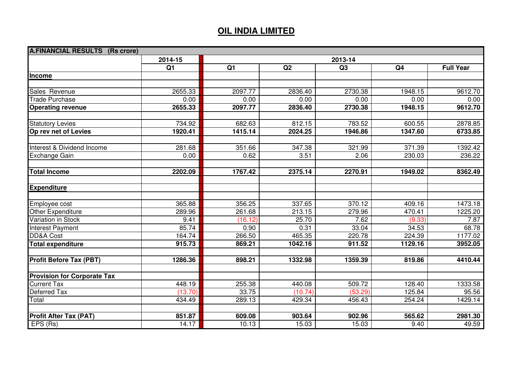## **OIL INDIA LIMITED**

| <b>A.FINANCIAL RESULTS (Rs crore)</b> |                |         |         |         |                |                  |
|---------------------------------------|----------------|---------|---------|---------|----------------|------------------|
|                                       | 2014-15        | 2013-14 |         |         |                |                  |
|                                       | Q <sub>1</sub> | Q1      | Q2      | Q3      | Q <sub>4</sub> | <b>Full Year</b> |
| Income                                |                |         |         |         |                |                  |
|                                       |                |         |         |         |                |                  |
| Sales Revenue                         | 2655.33        | 2097.77 | 2836.40 | 2730.38 | 1948.15        | 9612.70          |
| <b>Trade Purchase</b>                 | 0.00           | 0.00    | 0.00    | 0.00    | 0.00           | 0.00             |
| <b>Operating revenue</b>              | 2655.33        | 2097.77 | 2836.40 | 2730.38 | 1948.15        | 9612.70          |
|                                       |                |         |         |         |                |                  |
| <b>Statutory Levies</b>               | 734.92         | 682.63  | 812.15  | 783.52  | 600.55         | 2878.85          |
| Op rev net of Levies                  | 1920.41        | 1415.14 | 2024.25 | 1946.86 | 1347.60        | 6733.85          |
|                                       |                |         |         |         |                |                  |
| Interest & Dividend Income            | 281.68         | 351.66  | 347.38  | 321.99  | 371.39         | 1392.42          |
| Exchange Gain                         | 0.00           | 0.62    | 3.51    | 2.06    | 230.03         | 236.22           |
|                                       |                |         |         |         |                |                  |
| <b>Total Income</b>                   | 2202.09        | 1767.42 | 2375.14 | 2270.91 | 1949.02        | 8362.49          |
| <b>Expenditure</b>                    |                |         |         |         |                |                  |
|                                       |                |         |         |         |                |                  |
| Employee cost                         | 365.88         | 356.25  | 337.65  | 370.12  | 409.16         | 1473.18          |
| Other Expenditure                     | 289.96         | 261.68  | 213.15  | 279.96  | 470.41         | 1225.20          |
| Variation in Stock                    | 9.41           | (16.12) | 25.70   | 7.62    | (9.33)         | 7.87             |
| <b>Interest Payment</b>               | 85.74          | 0.90    | 0.31    | 33.04   | 34.53          | 68.78            |
| <b>DD&amp;A Cost</b>                  | 164.74         | 266.50  | 465.35  | 220.78  | 224.39         | 1177.02          |
| <b>Total expenditure</b>              | 915.73         | 869.21  | 1042.16 | 911.52  | 1129.16        | 3952.05          |
|                                       |                |         |         |         |                |                  |
| <b>Profit Before Tax (PBT)</b>        | 1286.36        | 898.21  | 1332.98 | 1359.39 | 819.86         | 4410.44          |
| <b>Provision for Corporate Tax</b>    |                |         |         |         |                |                  |
| <b>Current Tax</b>                    | 448.19         | 255.38  | 440.08  | 509.72  | 128.40         | 1333.58          |
| Deferred Tax                          | (13.70)        | 33.75   | (10.74) | (53.29) | 125.84         | 95.56            |
| Total                                 | 434.49         | 289.13  | 429.34  | 456.43  | 254.24         | 1429.14          |
|                                       |                |         |         |         |                |                  |
| <b>Profit After Tax (PAT)</b>         | 851.87         | 609.08  | 903.64  | 902.96  | 565.62         | 2981.30          |
| EPS (Rs)                              | 14.17          | 10.13   | 15.03   | 15.03   | 9.40           | 49.59            |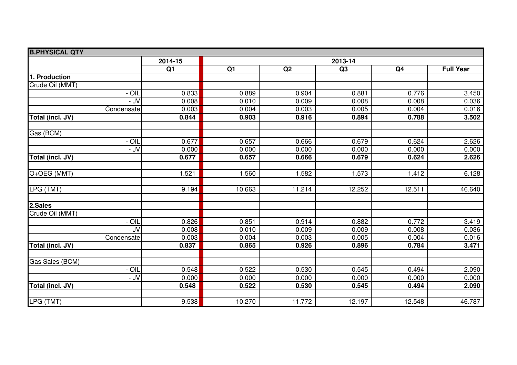| <b>B.PHYSICAL QTY</b>    |                |        |         |        |                |                  |
|--------------------------|----------------|--------|---------|--------|----------------|------------------|
|                          | 2014-15        |        | 2013-14 |        |                |                  |
|                          | Q <sub>1</sub> | Q1     | Q2      | Q3     | Q <sub>4</sub> | <b>Full Year</b> |
| 1. Production            |                |        |         |        |                |                  |
| Crude Oil (MMT)          |                |        |         |        |                |                  |
| - OIL                    | 0.833          | 0.889  | 0.904   | 0.881  | 0.776          | 3.450            |
| - JV                     | 0.008          | 0.010  | 0.009   | 0.008  | 0.008          | 0.036            |
| Condensate               | 0.003          | 0.004  | 0.003   | 0.005  | 0.004          | 0.016            |
| Total (incl. JV)         | 0.844          | 0.903  | 0.916   | 0.894  | 0.788          | 3.502            |
| Gas (BCM)                |                |        |         |        |                |                  |
| - OIL                    | 0.677          | 0.657  | 0.666   | 0.679  | 0.624          | 2.626            |
| $-$ JV                   | 0.000          | 0.000  | 0.000   | 0.000  | 0.000          | 0.000            |
| Total (incl. JV)         | 0.677          | 0.657  | 0.666   | 0.679  | 0.624          | 2.626            |
| O+OEG (MMT)              | 1.521          | 1.560  | 1.582   | 1.573  | 1.412          | 6.128            |
|                          |                |        |         |        |                |                  |
| LPG (TMT)                | 9.194          | 10.663 | 11.214  | 12.252 | 12.511         | 46.640           |
| 2.Sales                  |                |        |         |        |                |                  |
| Crude Oil (MMT)          |                |        |         |        |                |                  |
| $\overline{\frac{1}{2}}$ | 0.826          | 0.851  | 0.914   | 0.882  | 0.772          | 3.419            |
| $-$ JV                   | 0.008          | 0.010  | 0.009   | 0.009  | 0.008          | 0.036            |
| Condensate               | 0.003          | 0.004  | 0.003   | 0.005  | 0.004          | 0.016            |
| Total (incl. JV)         | 0.837          | 0.865  | 0.926   | 0.896  | 0.784          | 3.471            |
| Gas Sales (BCM)          |                |        |         |        |                |                  |
| - OIL                    | 0.548          | 0.522  | 0.530   | 0.545  | 0.494          | 2.090            |
| - JV                     | 0.000          | 0.000  | 0.000   | 0.000  | 0.000          | 0.000            |
| Total (incl. JV)         | 0.548          | 0.522  | 0.530   | 0.545  | 0.494          | 2.090            |
|                          |                |        |         |        |                |                  |
| LPG (TMT)                | 9.538          | 10.270 | 11.772  | 12.197 | 12.548         | 46.787           |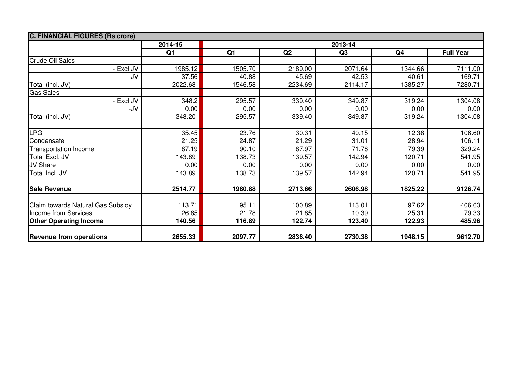| <b>C. FINANCIAL FIGURES (Rs crore)</b> |                |         |         |         |                |                  |
|----------------------------------------|----------------|---------|---------|---------|----------------|------------------|
|                                        | 2014-15        | 2013-14 |         |         |                |                  |
|                                        | Q <sub>1</sub> | Q1      | Q2      | Q3      | Q <sub>4</sub> | <b>Full Year</b> |
| <b>Crude Oil Sales</b>                 |                |         |         |         |                |                  |
| - Excl JV                              | 1985.12        | 1505.70 | 2189.00 | 2071.64 | 1344.66        | 7111.00          |
| -JV                                    | 37.56          | 40.88   | 45.69   | 42.53   | 40.61          | 169.71           |
| Total (incl. JV)                       | 2022.68        | 1546.58 | 2234.69 | 2114.17 | 1385.27        | 7280.71          |
| <b>Gas Sales</b>                       |                |         |         |         |                |                  |
| - Excl JV                              | 348.2          | 295.57  | 339.40  | 349.87  | 319.24         | 1304.08          |
| -JV                                    | 0.00           | 0.00    | 0.00    | 0.00    | 0.00           | 0.00             |
| Total (incl. JV)                       | 348.20         | 295.57  | 339.40  | 349.87  | 319.24         | 1304.08          |
|                                        |                |         |         |         |                |                  |
| <b>LPG</b>                             | 35.45          | 23.76   | 30.31   | 40.15   | 12.38          | 106.60           |
| Condensate                             | 21.25          | 24.87   | 21.29   | 31.01   | 28.94          | 106.11           |
| <b>Transportation Income</b>           | 87.19          | 90.10   | 87.97   | 71.78   | 79.39          | 329.24           |
| Total Excl. JV                         | 143.89         | 138.73  | 139.57  | 142.94  | 120.71         | 541.95           |
| JV Share                               | 0.00           | 0.00    | 0.00    | 0.00    | 0.00           | 0.00             |
| Total Incl. JV                         | 143.89         | 138.73  | 139.57  | 142.94  | 120.71         | 541.95           |
|                                        |                |         |         |         |                |                  |
| <b>Sale Revenue</b>                    | 2514.77        | 1980.88 | 2713.66 | 2606.98 | 1825.22        | 9126.74          |
|                                        |                |         |         |         |                |                  |
| Claim towards Natural Gas Subsidy      | 113.71         | 95.11   | 100.89  | 113.01  | 97.62          | 406.63           |
| Income from Services                   | 26.85          | 21.78   | 21.85   | 10.39   | 25.31          | 79.33            |
| <b>Other Operating Income</b>          | 140.56         | 116.89  | 122.74  | 123.40  | 122.93         | 485.96           |
|                                        |                |         |         |         |                |                  |
| <b>Revenue from operations</b>         | 2655.33        | 2097.77 | 2836.40 | 2730.38 | 1948.15        | 9612.70          |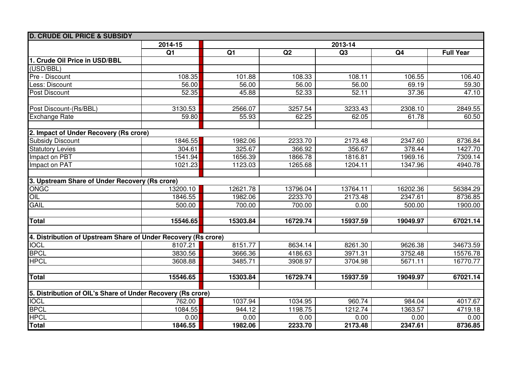| <b>D. CRUDE OIL PRICE &amp; SUBSIDY</b>                        |                    |          |          |          |                |                  |
|----------------------------------------------------------------|--------------------|----------|----------|----------|----------------|------------------|
|                                                                | 2014-15<br>2013-14 |          |          |          |                |                  |
|                                                                | Q1                 | Q1       | Q2       | Q3       | Q <sub>4</sub> | <b>Full Year</b> |
| 1. Crude Oil Price in USD/BBL                                  |                    |          |          |          |                |                  |
| (USD/BBL)                                                      |                    |          |          |          |                |                  |
| Pre - Discount                                                 | 108.35             | 101.88   | 108.33   | 108.11   | 106.55         | 106.40           |
| Less: Discount                                                 | 56.00              | 56.00    | 56.00    | 56.00    | 69.19          | 59.30            |
| Post Discount                                                  | 52.35              | 45.88    | 52.33    | 52.11    | 37.36          | 47.10            |
|                                                                |                    |          |          |          |                |                  |
| Post Discount-(Rs/BBL)                                         | 3130.53            | 2566.07  | 3257.54  | 3233.43  | 2308.10        | 2849.55          |
| <b>Exchange Rate</b>                                           | 59.80              | 55.93    | 62.25    | 62.05    | 61.78          | 60.50            |
|                                                                |                    |          |          |          |                |                  |
| 2. Impact of Under Recovery (Rs crore)                         |                    |          |          |          |                |                  |
| <b>Subsidy Discount</b>                                        | 1846.55            | 1982.06  | 2233.70  | 2173.48  | 2347.60        | 8736.84          |
| <b>Statutory Levies</b>                                        | 304.61             | 325.67   | 366.92   | 356.67   | 378.44         | 1427.70          |
| Impact on PBT                                                  | 1541.94            | 1656.39  | 1866.78  | 1816.81  | 1969.16        | 7309.14          |
| Impact on PAT                                                  | 1021.23            | 1123.03  | 1265.68  | 1204.11  | 1347.96        | 4940.78          |
|                                                                |                    |          |          |          |                |                  |
| 3. Upstream Share of Under Recovery (Rs crore)                 |                    |          |          |          |                |                  |
| <b>ONGC</b>                                                    | 13200.10           | 12621.78 | 13796.04 | 13764.11 | 16202.36       | 56384.29         |
| OIL                                                            | 1846.55            | 1982.06  | 2233.70  | 2173.48  | 2347.61        | 8736.85          |
| <b>GAIL</b>                                                    | 500.00             | 700.00   | 700.00   | 0.00     | 500.00         | 1900.00          |
|                                                                |                    |          |          |          |                |                  |
| <b>Total</b>                                                   | 15546.65           | 15303.84 | 16729.74 | 15937.59 | 19049.97       | 67021.14         |
|                                                                |                    |          |          |          |                |                  |
| 4. Distribution of Upstream Share of Under Recovery (Rs crore) |                    |          |          |          |                |                  |
| <b>IOCL</b>                                                    | 8107.21            | 8151.77  | 8634.14  | 8261.30  | 9626.38        | 34673.59         |
| <b>BPCL</b>                                                    | 3830.56            | 3666.36  | 4186.63  | 3971.31  | 3752.48        | 15576.78         |
| <b>HPCL</b>                                                    | 3608.88            | 3485.71  | 3908.97  | 3704.98  | 5671.11        | 16770.77         |
|                                                                |                    |          |          |          |                |                  |
| Total                                                          | 15546.65           | 15303.84 | 16729.74 | 15937.59 | 19049.97       | 67021.14         |
|                                                                |                    |          |          |          |                |                  |
| 5. Distribution of OIL's Share of Under Recovery (Rs crore)    |                    |          |          |          |                |                  |
| <b>IOCL</b>                                                    | 762.00             | 1037.94  | 1034.95  | 960.74   | 984.04         | 4017.67          |
| <b>BPCL</b>                                                    | 1084.55            | 944.12   | 1198.75  | 1212.74  | 1363.57        | 4719.18          |
| <b>HPCL</b>                                                    | 0.00               | 0.00     | 0.00     | 0.00     | 0.00           | 0.00             |
| <b>Total</b>                                                   | 1846.55            | 1982.06  | 2233.70  | 2173.48  | 2347.61        | 8736.85          |